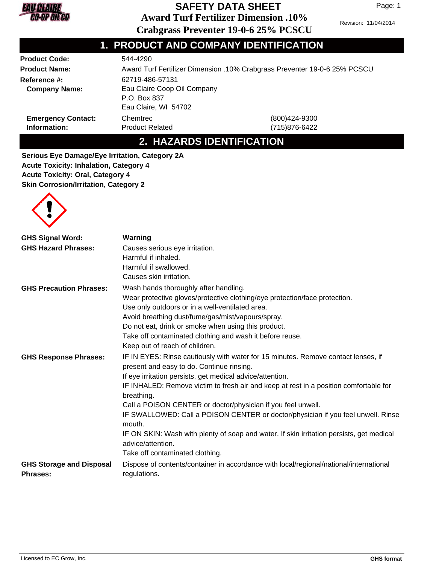

# **SAFETY DATA SHEET**

**Award Turf Fertilizer Dimension .10%**

Revision: 11/04/2014

Page: 1

**Crabgrass Preventer 19-0-6 25% PCSCU**

| 1. PRODUCT AND COMPANY IDENTIFICATION |
|---------------------------------------|
| E 44 AO DO                            |

| <b>Product Code:</b>                                                                        | 544-4290                                                                  |                                |  |
|---------------------------------------------------------------------------------------------|---------------------------------------------------------------------------|--------------------------------|--|
| <b>Product Name:</b>                                                                        | Award Turf Fertilizer Dimension .10% Crabgrass Preventer 19-0-6 25% PCSCU |                                |  |
| <b>Reference #:</b>                                                                         | 62719-486-57131                                                           |                                |  |
| Eau Claire Coop Oil Company<br><b>Company Name:</b><br>P.O. Box 837<br>Eau Claire, WI 54702 |                                                                           |                                |  |
| <b>Emergency Contact:</b><br>Information:                                                   | Chemtrec<br><b>Product Related</b>                                        | (800)424-9300<br>(715)876-6422 |  |

# **2. HAZARDS IDENTIFICATION**

**Serious Eye Damage/Eye Irritation, Category 2A Acute Toxicity: Inhalation, Category 4 Acute Toxicity: Oral, Category 4 Skin Corrosion/Irritation, Category 2**



| <b>GHS Signal Word:</b>                            | Warning                                                                                                                        |
|----------------------------------------------------|--------------------------------------------------------------------------------------------------------------------------------|
| <b>GHS Hazard Phrases:</b>                         | Causes serious eye irritation.                                                                                                 |
|                                                    | Harmful if inhaled.                                                                                                            |
|                                                    | Harmful if swallowed.                                                                                                          |
|                                                    | Causes skin irritation.                                                                                                        |
| <b>GHS Precaution Phrases:</b>                     | Wash hands thoroughly after handling.                                                                                          |
|                                                    | Wear protective gloves/protective clothing/eye protection/face protection.                                                     |
|                                                    | Use only outdoors or in a well-ventilated area.                                                                                |
|                                                    | Avoid breathing dust/fume/gas/mist/vapours/spray.                                                                              |
|                                                    | Do not eat, drink or smoke when using this product.                                                                            |
|                                                    | Take off contaminated clothing and wash it before reuse.                                                                       |
|                                                    | Keep out of reach of children.                                                                                                 |
| <b>GHS Response Phrases:</b>                       | IF IN EYES: Rinse cautiously with water for 15 minutes. Remove contact lenses, if<br>present and easy to do. Continue rinsing. |
|                                                    | If eye irritation persists, get medical advice/attention.                                                                      |
|                                                    | IF INHALED: Remove victim to fresh air and keep at rest in a position comfortable for<br>breathing.                            |
|                                                    | Call a POISON CENTER or doctor/physician if you feel unwell.                                                                   |
|                                                    | IF SWALLOWED: Call a POISON CENTER or doctor/physician if you feel unwell. Rinse<br>mouth.                                     |
|                                                    | IF ON SKIN: Wash with plenty of soap and water. If skin irritation persists, get medical<br>advice/attention.                  |
|                                                    | Take off contaminated clothing.                                                                                                |
| <b>GHS Storage and Disposal</b><br><b>Phrases:</b> | Dispose of contents/container in accordance with local/regional/national/international<br>regulations.                         |
|                                                    |                                                                                                                                |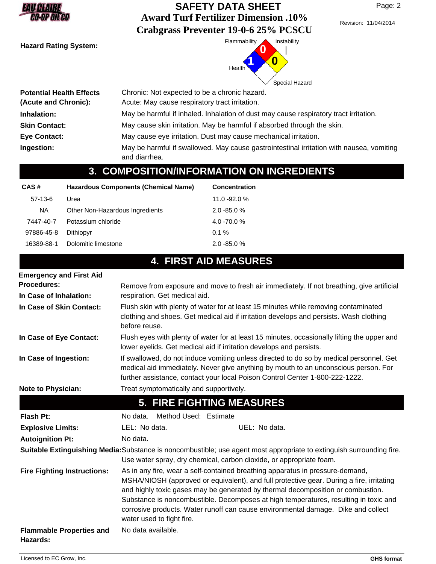| EAUCALAIRE          |  |
|---------------------|--|
| <b>CO-OP OIL CO</b> |  |

Revision: 11/04/2014



| <b>Potential Health Effects</b> | Chronic: Not expected to be a chronic hazard.                                                             |
|---------------------------------|-----------------------------------------------------------------------------------------------------------|
| (Acute and Chronic):            | Acute: May cause respiratory tract irritation.                                                            |
| Inhalation:                     | May be harmful if inhaled. Inhalation of dust may cause respiratory tract irritation.                     |
| <b>Skin Contact:</b>            | May cause skin irritation. May be harmful if absorbed through the skin.                                   |
| <b>Eye Contact:</b>             | May cause eye irritation. Dust may cause mechanical irritation.                                           |
| Ingestion:                      | May be harmful if swallowed. May cause gastrointestinal irritation with nausea, vomiting<br>and diarrhea. |

# **3. COMPOSITION/INFORMATION ON INGREDIENTS**

| CAS#       | Hazardous Components (Chemical Name) | <b>Concentration</b> |
|------------|--------------------------------------|----------------------|
| $57-13-6$  | Urea                                 | $11.0 - 92.0 %$      |
| <b>NA</b>  | Other Non-Hazardous Ingredients      | $2.0 - 85.0 %$       |
| 7447-40-7  | Potassium chloride                   | $4.0 - 70.0 %$       |
| 97886-45-8 | Dithiopyr                            | $0.1 \%$             |
| 16389-88-1 | Dolomitic limestone                  | $2.0 - 85.0 %$       |

# **4. FIRST AID MEASURES**

| <b>Emergency and First Aid</b>     |                                                                                                                                                                                                                                                                                                                                                                                                                                                                        |  |  |  |
|------------------------------------|------------------------------------------------------------------------------------------------------------------------------------------------------------------------------------------------------------------------------------------------------------------------------------------------------------------------------------------------------------------------------------------------------------------------------------------------------------------------|--|--|--|
| <b>Procedures:</b>                 | Remove from exposure and move to fresh air immediately. If not breathing, give artificial                                                                                                                                                                                                                                                                                                                                                                              |  |  |  |
| In Case of Inhalation:             | respiration. Get medical aid.                                                                                                                                                                                                                                                                                                                                                                                                                                          |  |  |  |
| In Case of Skin Contact:           | Flush skin with plenty of water for at least 15 minutes while removing contaminated<br>clothing and shoes. Get medical aid if irritation develops and persists. Wash clothing<br>before reuse.                                                                                                                                                                                                                                                                         |  |  |  |
| In Case of Eye Contact:            | Flush eyes with plenty of water for at least 15 minutes, occasionally lifting the upper and<br>lower eyelids. Get medical aid if irritation develops and persists.                                                                                                                                                                                                                                                                                                     |  |  |  |
| In Case of Ingestion:              | If swallowed, do not induce vomiting unless directed to do so by medical personnel. Get<br>medical aid immediately. Never give anything by mouth to an unconscious person. For<br>further assistance, contact your local Poison Control Center 1-800-222-1222.                                                                                                                                                                                                         |  |  |  |
| <b>Note to Physician:</b>          | Treat symptomatically and supportively.                                                                                                                                                                                                                                                                                                                                                                                                                                |  |  |  |
|                                    | <b>5. FIRE FIGHTING MEASURES</b>                                                                                                                                                                                                                                                                                                                                                                                                                                       |  |  |  |
|                                    |                                                                                                                                                                                                                                                                                                                                                                                                                                                                        |  |  |  |
| <b>Flash Pt:</b>                   | Method Used: Estimate<br>No data.                                                                                                                                                                                                                                                                                                                                                                                                                                      |  |  |  |
| <b>Explosive Limits:</b>           | LEL: No data.<br>UEL: No data.                                                                                                                                                                                                                                                                                                                                                                                                                                         |  |  |  |
| <b>Autoignition Pt:</b>            | No data.                                                                                                                                                                                                                                                                                                                                                                                                                                                               |  |  |  |
|                                    | Suitable Extinguishing Media: Substance is noncombustible; use agent most appropriate to extinguish surrounding fire.<br>Use water spray, dry chemical, carbon dioxide, or appropriate foam.                                                                                                                                                                                                                                                                           |  |  |  |
| <b>Fire Fighting Instructions:</b> | As in any fire, wear a self-contained breathing apparatus in pressure-demand,<br>MSHA/NIOSH (approved or equivalent), and full protective gear. During a fire, irritating<br>and highly toxic gases may be generated by thermal decomposition or combustion.<br>Substance is noncombustible. Decomposes at high temperatures, resulting in toxic and<br>corrosive products. Water runoff can cause environmental damage. Dike and collect<br>water used to fight fire. |  |  |  |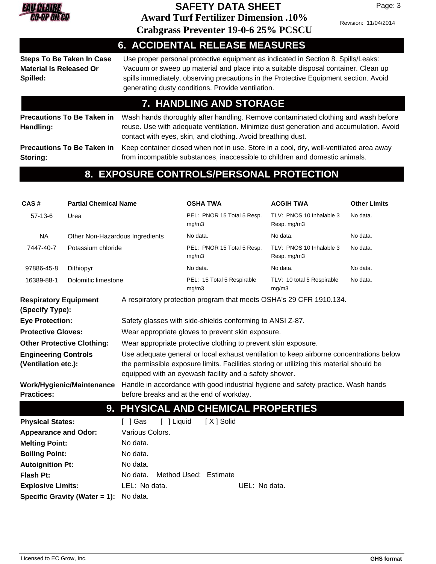

### **Award Turf Fertilizer Dimension .10% SAFETY DATA SHEET**

Revision: 11/04/2014

Page: 3

| <b>Crabgrass Preventer 19-0-6 25% PCSCU</b> |  |
|---------------------------------------------|--|
|---------------------------------------------|--|

**6. ACCIDENTAL RELEASE MEASURES** Use proper personal protective equipment as indicated in Section 8. Spills/Leaks: Vacuum or sweep up material and place into a suitable disposal container. Clean up spills immediately, observing precautions in the Protective Equipment section. Avoid generating dusty conditions. Provide ventilation. **Steps To Be Taken In Case Material Is Released Or Spilled: 7. HANDLING AND STORAGE** Wash hands thoroughly after handling. Remove contaminated clothing and wash before reuse. Use with adequate ventilation. Minimize dust generation and accumulation. Avoid contact with eyes, skin, and clothing. Avoid breathing dust. **Precautions To Be Taken in Handling:** Keep container closed when not in use. Store in a cool, dry, well-ventilated area away from incompatible substances, inaccessible to children and domestic animals. **Precautions To Be Taken in Storing: 8. EXPOSURE CONTROLS/PERSONAL PROTECTION**

#### **CAS # Partial Chemical Name OSHA TWA ACGIH TWA Other Limits** 57-13-6 Urea **Constant Constructs** PEL: PNOR 15 Total 5 Resp. TLV: PNOS 10 Inhalable 3 No data. mg/m3 TLV: PNOS 10 Inhalable 3 Resp. mg/m3 NA Other Non-Hazardous Ingredients No data. No data. No data. 7447-40-7 Potassium chloride The Selling PEL: PNOR 15 Total 5 Resp. TLV: PNOS 10 Inhalable 3 No data. mg/m3 TLV: PNOS 10 Inhalable 3 Resp. mg/m3 97886-45-8 Dithiopyr No data. No data. No data. 16389-88-1 Dolomitic limestone entity of the PEL: 15 Total 5 Respirable TLV: 10 total 5 Respirable No data. mg/m3 TLV: 10 total 5 Respirable mg/m3 **Respiratory Equipment** A respiratory protection program that meets OSHA's 29 CFR 1910.134. **(Specify Type): Eye Protection:** Safety glasses with side-shields conforming to ANSI Z-87. **Protective Gloves:** Wear appropriate gloves to prevent skin exposure. **Other Protective Clothing:** Wear appropriate protective clothing to prevent skin exposure. Use adequate general or local exhaust ventilation to keep airborne concentrations below the permissible exposure limits. Facilities storing or utilizing this material should be equipped with an eyewash facility and a safety shower. **Engineering Controls (Ventilation etc.):** Handle in accordance with good industrial hygiene and safety practice. Wash hands before breaks and at the end of workday. **Work/Hygienic/Maintenance Practices: 9. PHYSICAL AND CHEMICAL PROPERTIES Physical States:** [ ] Gas [ ] Liquid [ X ] Solid **Melting Point:** No data. **Boiling Point:** No data. **Autoignition Pt:** No data. **Appearance and Odor:** Various Colors.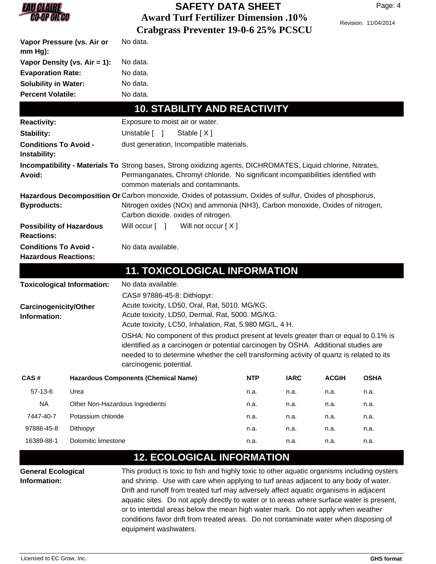

| Vapor Pressure (vs. Air or<br>$mm Hg$ :                     |                                   | No data.                                                                                                                                                                                                                                                                                                                                                                                                                                |            |             |              |             |
|-------------------------------------------------------------|-----------------------------------|-----------------------------------------------------------------------------------------------------------------------------------------------------------------------------------------------------------------------------------------------------------------------------------------------------------------------------------------------------------------------------------------------------------------------------------------|------------|-------------|--------------|-------------|
| Vapor Density (vs. Air = 1):                                |                                   | No data.                                                                                                                                                                                                                                                                                                                                                                                                                                |            |             |              |             |
| <b>Evaporation Rate:</b><br><b>Solubility in Water:</b>     |                                   | No data.                                                                                                                                                                                                                                                                                                                                                                                                                                |            |             |              |             |
|                                                             |                                   | No data.                                                                                                                                                                                                                                                                                                                                                                                                                                |            |             |              |             |
| <b>Percent Volatile:</b>                                    |                                   | No data.                                                                                                                                                                                                                                                                                                                                                                                                                                |            |             |              |             |
|                                                             |                                   | <b>10. STABILITY AND REACTIVITY</b>                                                                                                                                                                                                                                                                                                                                                                                                     |            |             |              |             |
| <b>Reactivity:</b>                                          |                                   | Exposure to moist air or water.                                                                                                                                                                                                                                                                                                                                                                                                         |            |             |              |             |
| Stability:                                                  |                                   | Unstable $\begin{bmatrix} 1 \end{bmatrix}$<br>Stable [X]                                                                                                                                                                                                                                                                                                                                                                                |            |             |              |             |
| <b>Conditions To Avoid -</b><br>Instability:                |                                   | dust generation, Incompatible materials.                                                                                                                                                                                                                                                                                                                                                                                                |            |             |              |             |
| Avoid:                                                      |                                   | Incompatibility - Materials To Strong bases, Strong oxidizing agents, DICHROMATES, Liquid chlorine, Nitrates,<br>Permanganates, Chromyl chloride. No significant incompatibilities identified with<br>common materials and contaminants.                                                                                                                                                                                                |            |             |              |             |
| <b>Byproducts:</b>                                          |                                   | Hazardous Decomposition Or Carbon monoxide, Oxides of potassium, Oxides of sulfur, Oxides of phosphorus,<br>Nitrogen oxides (NOx) and ammonia (NH3), Carbon monoxide, Oxides of nitrogen,<br>Carbon dioxide. oxides of nitrogen.                                                                                                                                                                                                        |            |             |              |             |
| <b>Possibility of Hazardous</b><br><b>Reactions:</b>        |                                   | Will occur [ ] Will not occur [X]                                                                                                                                                                                                                                                                                                                                                                                                       |            |             |              |             |
| <b>Conditions To Avoid -</b><br><b>Hazardous Reactions:</b> |                                   | No data available.                                                                                                                                                                                                                                                                                                                                                                                                                      |            |             |              |             |
|                                                             |                                   | <b>11. TOXICOLOGICAL INFORMATION</b>                                                                                                                                                                                                                                                                                                                                                                                                    |            |             |              |             |
|                                                             | <b>Toxicological Information:</b> | No data available.                                                                                                                                                                                                                                                                                                                                                                                                                      |            |             |              |             |
|                                                             |                                   | CAS# 97886-45-8: Dithiopyr:                                                                                                                                                                                                                                                                                                                                                                                                             |            |             |              |             |
| <b>Carcinogenicity/Other</b><br>Information:                |                                   | Acute toxicity, LD50, Oral, Rat, 5010. MG/KG.<br>Acute toxicity, LD50, Dermal, Rat, 5000. MG/KG.<br>Acute toxicity, LC50, Inhalation, Rat, 5.980 MG/L, 4 H.<br>OSHA: No component of this product present at levels greater than or equal to 0.1% is<br>identified as a carcinogen or potential carcinogen by OSHA. Additional studies are<br>needed to to determine whether the cell transforming activity of quartz is related to its |            |             |              |             |
|                                                             |                                   | carcinogenic potential.                                                                                                                                                                                                                                                                                                                                                                                                                 |            |             |              |             |
| CAS#                                                        |                                   | <b>Hazardous Components (Chemical Name)</b>                                                                                                                                                                                                                                                                                                                                                                                             | <b>NTP</b> | <b>IARC</b> | <b>ACGIH</b> | <b>OSHA</b> |
| $57-13-6$                                                   | Urea                              |                                                                                                                                                                                                                                                                                                                                                                                                                                         | n.a.       | n.a.        | n.a.         | n.a.        |
| <b>NA</b>                                                   |                                   | Other Non-Hazardous Ingredients                                                                                                                                                                                                                                                                                                                                                                                                         | n.a.       | n.a.        | n.a.         | n.a.        |
| 7447-40-7                                                   | Potassium chloride                |                                                                                                                                                                                                                                                                                                                                                                                                                                         | n.a.       | n.a.        | n.a.         | n.a.        |
| 97886-45-8                                                  | Dithiopyr                         |                                                                                                                                                                                                                                                                                                                                                                                                                                         | n.a.       | n.a.        | n.a.         | n.a.        |
| Dolomitic limestone<br>16389-88-1                           |                                   |                                                                                                                                                                                                                                                                                                                                                                                                                                         | n.a.       | n.a.        | n.a.         | n.a.        |

#### This product is toxic to fish and highly toxic to other aquatic organisms including oysters and shrimp. Use with care when applying to turf areas adjacent to any body of water. Drift and runoff from treated turf may adversely affect aquatic organisms in adjacent aquatic sites. Do not apply directly to water or to areas where surface water is present, or to intertidal areas below the mean high water mark. Do not apply when weather conditions favor drift from treated areas. Do not contaminate water when disposing of equipment washwaters. **General Ecological Information:**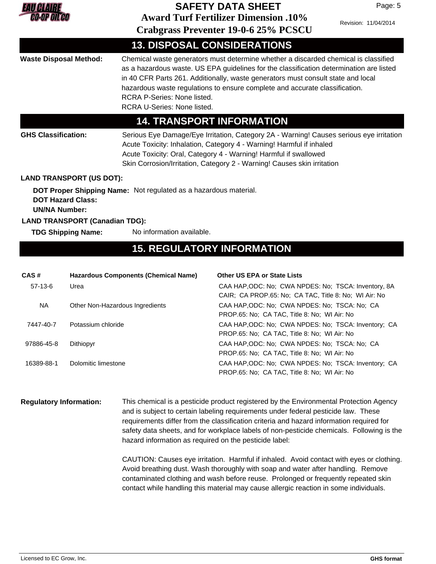

Revision: 11/04/2014

Page: 5

|                                                                                                                                                                                                                                                                                                                                                                                                                                                         |                                       |                                                                  | Crabgrass Preventer 19-0-0 25% PCSCO                                                                                                                                                                                                                                                                           |
|---------------------------------------------------------------------------------------------------------------------------------------------------------------------------------------------------------------------------------------------------------------------------------------------------------------------------------------------------------------------------------------------------------------------------------------------------------|---------------------------------------|------------------------------------------------------------------|----------------------------------------------------------------------------------------------------------------------------------------------------------------------------------------------------------------------------------------------------------------------------------------------------------------|
|                                                                                                                                                                                                                                                                                                                                                                                                                                                         |                                       |                                                                  | <b>13. DISPOSAL CONSIDERATIONS</b>                                                                                                                                                                                                                                                                             |
| Chemical waste generators must determine whether a discarded chemical is classified<br><b>Waste Disposal Method:</b><br>as a hazardous waste. US EPA guidelines for the classification determination are listed<br>in 40 CFR Parts 261. Additionally, waste generators must consult state and local<br>hazardous waste regulations to ensure complete and accurate classification.<br>RCRA P-Series: None listed.<br><b>RCRA U-Series: None listed.</b> |                                       |                                                                  |                                                                                                                                                                                                                                                                                                                |
|                                                                                                                                                                                                                                                                                                                                                                                                                                                         |                                       |                                                                  | <b>14. TRANSPORT INFORMATION</b>                                                                                                                                                                                                                                                                               |
| <b>GHS Classification:</b>                                                                                                                                                                                                                                                                                                                                                                                                                              |                                       |                                                                  | Serious Eye Damage/Eye Irritation, Category 2A - Warning! Causes serious eye irritation<br>Acute Toxicity: Inhalation, Category 4 - Warning! Harmful if inhaled<br>Acute Toxicity: Oral, Category 4 - Warning! Harmful if swallowed<br>Skin Corrosion/Irritation, Category 2 - Warning! Causes skin irritation |
|                                                                                                                                                                                                                                                                                                                                                                                                                                                         | <b>LAND TRANSPORT (US DOT):</b>       |                                                                  |                                                                                                                                                                                                                                                                                                                |
| <b>UN/NA Number:</b>                                                                                                                                                                                                                                                                                                                                                                                                                                    | <b>DOT Hazard Class:</b>              | DOT Proper Shipping Name: Not regulated as a hazardous material. |                                                                                                                                                                                                                                                                                                                |
|                                                                                                                                                                                                                                                                                                                                                                                                                                                         | <b>LAND TRANSPORT (Canadian TDG):</b> |                                                                  |                                                                                                                                                                                                                                                                                                                |
|                                                                                                                                                                                                                                                                                                                                                                                                                                                         | <b>TDG Shipping Name:</b>             | No information available.                                        |                                                                                                                                                                                                                                                                                                                |
|                                                                                                                                                                                                                                                                                                                                                                                                                                                         |                                       |                                                                  | <b>15. REGULATORY INFORMATION</b>                                                                                                                                                                                                                                                                              |
| CAS#                                                                                                                                                                                                                                                                                                                                                                                                                                                    |                                       | <b>Hazardous Components (Chemical Name)</b>                      | <b>Other US EPA or State Lists</b>                                                                                                                                                                                                                                                                             |
| $57-13-6$                                                                                                                                                                                                                                                                                                                                                                                                                                               | Urea                                  |                                                                  | CAA HAP, ODC: No; CWA NPDES: No; TSCA: Inventory, 8A<br>CAIR; CA PROP.65: No; CA TAC, Title 8: No; WI Air: No                                                                                                                                                                                                  |
| <b>NA</b>                                                                                                                                                                                                                                                                                                                                                                                                                                               |                                       | Other Non-Hazardous Ingredients                                  | CAA HAP, ODC: No; CWA NPDES: No; TSCA: No; CA                                                                                                                                                                                                                                                                  |

|            |                     | PROP.65: No: CA TAC, Title 8: No: WI Air: No         |
|------------|---------------------|------------------------------------------------------|
| 7447-40-7  | Potassium chloride  | CAA HAP, ODC: No: CWA NPDES: No: TSCA: Inventory: CA |
|            |                     | PROP.65: No: CA TAC, Title 8: No: WI Air: No         |
| 97886-45-8 | Dithiopyr           | CAA HAP, ODC: No; CWA NPDES: No; TSCA: No; CA        |
|            |                     | PROP.65: No: CA TAC, Title 8: No: WI Air: No         |
| 16389-88-1 | Dolomitic limestone | CAA HAP, ODC: No: CWA NPDES: No: TSCA: Inventory: CA |
|            |                     | PROP.65: No; CA TAC, Title 8: No; WI Air: No         |

This chemical is a pesticide product registered by the Environmental Protection Agency and is subject to certain labeling requirements under federal pesticide law. These requirements differ from the classification criteria and hazard information required for safety data sheets, and for workplace labels of non-pesticide chemicals. Following is the hazard information as required on the pesticide label: **Regulatory Information:**

> CAUTION: Causes eye irritation. Harmful if inhaled. Avoid contact with eyes or clothing. Avoid breathing dust. Wash thoroughly with soap and water after handling. Remove contaminated clothing and wash before reuse. Prolonged or frequently repeated skin contact while handling this material may cause allergic reaction in some individuals.